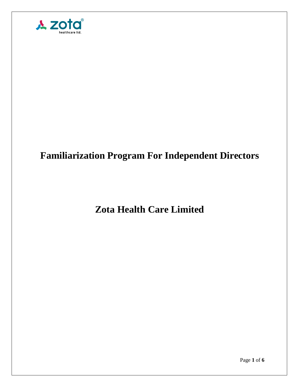

# **Familiarization Program For Independent Directors**

## **Zota Health Care Limited**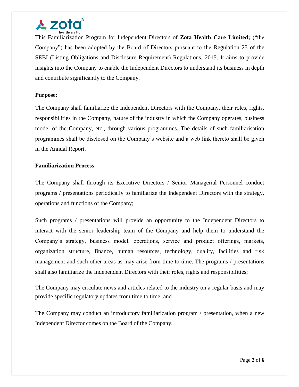

This Familiarization Program for Independent Directors of **Zota Health Care Limited;** ("the Company") has been adopted by the Board of Directors pursuant to the Regulation 25 of the SEBI (Listing Obligations and Disclosure Requirement) Regulations, 2015. It aims to provide insights into the Company to enable the Independent Directors to understand its business in depth and contribute significantly to the Company.

#### **Purpose:**

The Company shall familiarize the Independent Directors with the Company, their roles, rights, responsibilities in the Company, nature of the industry in which the Company operates, business model of the Company, etc., through various programmes. The details of such familiarisation programmes shall be disclosed on the Company's website and a web link thereto shall be given in the Annual Report.

#### **Familiarization Process**

The Company shall through its Executive Directors / Senior Managerial Personnel conduct programs / presentations periodically to familiarize the Independent Directors with the strategy, operations and functions of the Company;

Such programs / presentations will provide an opportunity to the Independent Directors to interact with the senior leadership team of the Company and help them to understand the Company's strategy, business model, operations, service and product offerings, markets, organization structure, finance, human resources, technology, quality, facilities and risk management and such other areas as may arise from time to time. The programs / presentations shall also familiarize the Independent Directors with their roles, rights and responsibilities;

The Company may circulate news and articles related to the industry on a regular basis and may provide specific regulatory updates from time to time; and

The Company may conduct an introductory familiarization program / presentation, when a new Independent Director comes on the Board of the Company.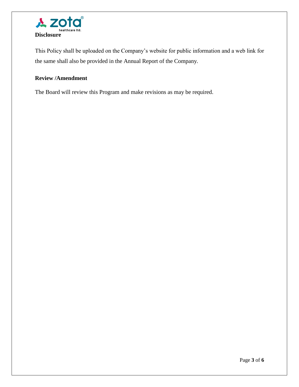

This Policy shall be uploaded on the Company's website for public information and a web link for the same shall also be provided in the Annual Report of the Company.

### **Review /Amendment**

The Board will review this Program and make revisions as may be required.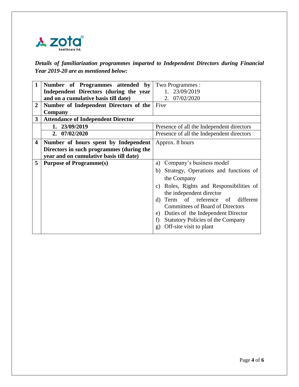

*Details of familiarization programmes imparted to Independent Directors during Financial Year 2019-20 are as mentioned below:*

| Two Programmes:                                                                                                                                                                                                                                                                                                                                                                 |
|---------------------------------------------------------------------------------------------------------------------------------------------------------------------------------------------------------------------------------------------------------------------------------------------------------------------------------------------------------------------------------|
| 1. 23/09/2019                                                                                                                                                                                                                                                                                                                                                                   |
| 07/02/2020<br>2.                                                                                                                                                                                                                                                                                                                                                                |
|                                                                                                                                                                                                                                                                                                                                                                                 |
|                                                                                                                                                                                                                                                                                                                                                                                 |
|                                                                                                                                                                                                                                                                                                                                                                                 |
| Presence of all the Independent directors                                                                                                                                                                                                                                                                                                                                       |
| Presence of all the Independent directors                                                                                                                                                                                                                                                                                                                                       |
| Approx. 8 hours                                                                                                                                                                                                                                                                                                                                                                 |
|                                                                                                                                                                                                                                                                                                                                                                                 |
|                                                                                                                                                                                                                                                                                                                                                                                 |
| Company's business model<br>a)                                                                                                                                                                                                                                                                                                                                                  |
| Strategy, Operations and functions of<br>b)                                                                                                                                                                                                                                                                                                                                     |
| the Company                                                                                                                                                                                                                                                                                                                                                                     |
| Roles, Rights and Responsibilities of<br>C)                                                                                                                                                                                                                                                                                                                                     |
| the independent director                                                                                                                                                                                                                                                                                                                                                        |
| Term of reference of<br>different<br>d)                                                                                                                                                                                                                                                                                                                                         |
| <b>Committees of Board of Directors</b>                                                                                                                                                                                                                                                                                                                                         |
| Duties of the Independent Director<br>e)                                                                                                                                                                                                                                                                                                                                        |
| <b>Statutory Policies of the Company</b><br>f)                                                                                                                                                                                                                                                                                                                                  |
| Off-site visit to plant<br>$\mathfrak{g}$ )                                                                                                                                                                                                                                                                                                                                     |
| Number of Programmes attended by<br>Independent Directors (during the year<br>and on a cumulative basis till date)<br>Number of Independent Directors of the Five<br><b>Attendance of Independent Director</b><br>Number of hours spent by Independent<br>Directors in such programmes (during the<br>year and on cumulative basis till date)<br><b>Purpose of Programme(s)</b> |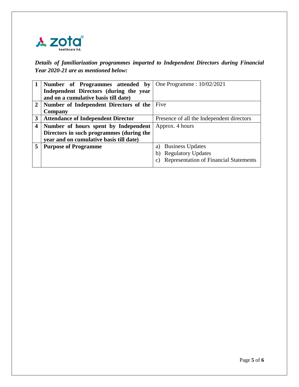

*Details of familiarization programmes imparted to Independent Directors during Financial Year 2020-21 are as mentioned below:*

|              | Number of Programmes attended by          | One Programme : $10/02/2021$                  |
|--------------|-------------------------------------------|-----------------------------------------------|
|              | Independent Directors (during the year    |                                               |
|              | and on a cumulative basis till date)      |                                               |
| $\mathbf{2}$ | Number of Independent Directors of the    | Five                                          |
|              | Company                                   |                                               |
| 3            | <b>Attendance of Independent Director</b> | Presence of all the Independent directors     |
| 4            | Number of hours spent by Independent      | Approx. 4 hours                               |
|              | Directors in such programmes (during the  |                                               |
|              | year and on cumulative basis till date)   |                                               |
| 5            | <b>Purpose of Programme</b>               | <b>Business Updates</b><br>a)                 |
|              |                                           | <b>Regulatory Updates</b><br>b)               |
|              |                                           | <b>Representation of Financial Statements</b> |